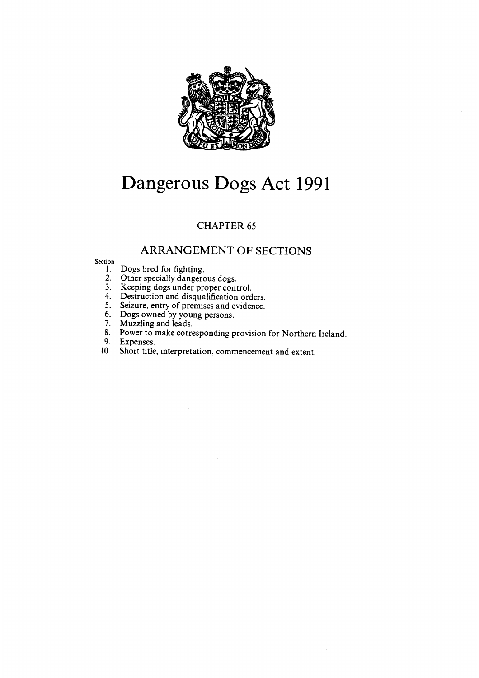

# Dangerous Dogs Act 1991

### CHAPTER 65

### ARRANGEMENT OF SECTIONS

#### Section

- I. Dogs bred for fighting.
- 2. Other specially dangerous dogs.
- 3. Keeping dogs under proper control.
- 4. Destruction and disqualification orders.
- 5. Seizure, entry of premises and evidence.
- 6. Dogs owned by young persons.
- 7. Muzzling and leads.
- 8. Power to make corresponding provision for Northern Ireland.
- 9. Expenses.
- 10. Short title, interpretation, commencement and extent.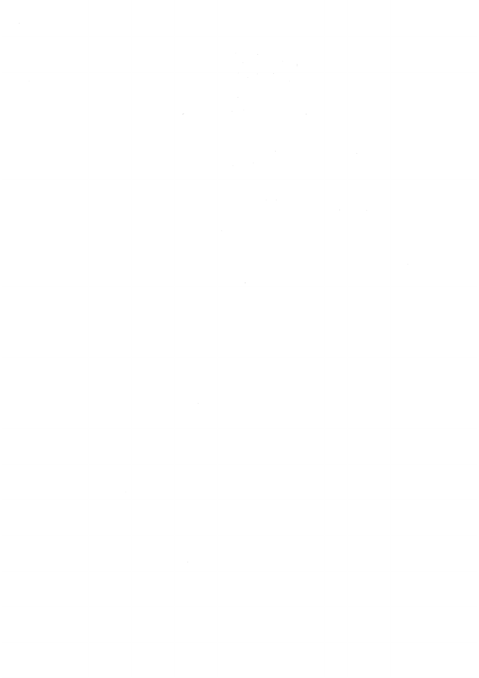$\label{eq:2.1} \frac{1}{2}\sum_{i=1}^n\frac{1}{2}\sum_{j=1}^n\frac{1}{2}\sum_{j=1}^n\frac{1}{2}\sum_{j=1}^n\frac{1}{2}\sum_{j=1}^n\frac{1}{2}\sum_{j=1}^n\frac{1}{2}\sum_{j=1}^n\frac{1}{2}\sum_{j=1}^n\frac{1}{2}\sum_{j=1}^n\frac{1}{2}\sum_{j=1}^n\frac{1}{2}\sum_{j=1}^n\frac{1}{2}\sum_{j=1}^n\frac{1}{2}\sum_{j=1}^n\frac{1}{2}\sum_{j=1}^n\$ 

 $\label{eq:2.1} \frac{1}{\sqrt{2}}\int_{0}^{\infty}\frac{1}{\sqrt{2\pi}}\left(\frac{1}{\sqrt{2\pi}}\right)^{2\alpha} \frac{1}{\sqrt{2\pi}}\int_{0}^{\infty}\frac{1}{\sqrt{2\pi}}\left(\frac{1}{\sqrt{2\pi}}\right)^{\alpha} \frac{1}{\sqrt{2\pi}}\frac{1}{\sqrt{2\pi}}\int_{0}^{\infty}\frac{1}{\sqrt{2\pi}}\frac{1}{\sqrt{2\pi}}\frac{1}{\sqrt{2\pi}}\frac{1}{\sqrt{2\pi}}\frac{1}{\sqrt{2\pi}}\frac{1}{\sqrt{2\pi}}$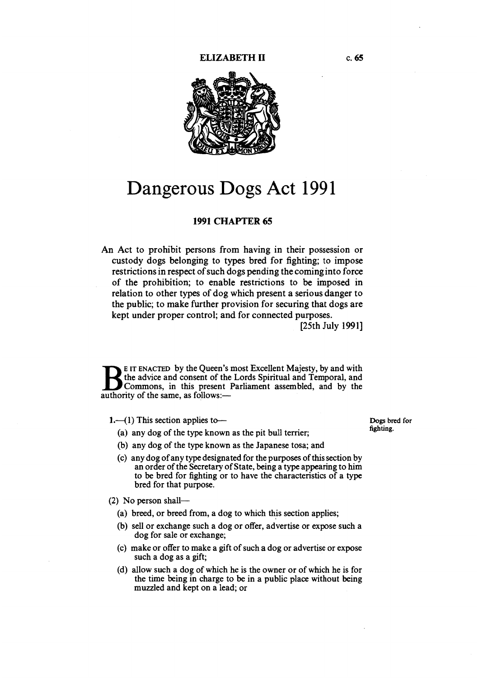

# Dangerous Dogs Act 1991

#### 1991 CHAPTER 65

An Act to prohibit persons from having in their possession or custody dogs belonging to types bred for fighting; to impose restrictions in respect of such dogs pending the coming into force of the prohibition; to enable restrictions to be imposed in relation to other types of dog which present a serious danger to the public; to make further provision for securing that dogs are kept under proper control; and for connected purposes.

[25th July 1991]

**B** E IT ENACTED by the Queen's most Excellent Majesty, by and with the advice and consent of the Lords Spiritual and Temporal, and Commons, in this present Parliament assembled, and by the authority of the same as follows the advice and consent of the Lords Spiritual and Temporal, and authority of the same, as follows:—

1.—(1) This section applies to— Dogs bred for

(a) any dog of the type known as the pit bull terrier;  $\frac{f(\mathbf{x})}{\mathbf{x}}$  fighting.

- (b) any dog of the type known as the Japanese tosa; and
- (c) any dog of any type designated for the purposes of this section by an order of the Secretary of State, being a type appearing to him to be bred for fighting or to have the characteristics of a type bred for that purpose.

(2) No person shall—

- (a) breed, or breed from, a dog to which this section applies;
- (b) sell or exchange such a dog or offer, advertise or expose such a dog for sale or exchange;
- (c) make or offer to make a gift of such a dog or advertise or expose such a dog as a gift;
- (d) allow such a dog of which he is the owner or of which he is for the time being in charge to be in a public place without being muzzled and kept on a lead; or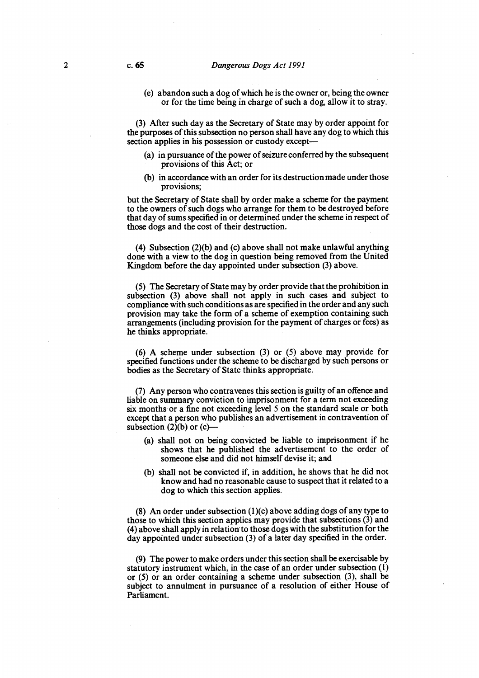(e) abandon such a dog of which he is the owner or, being the owner or for the time being in charge of such a dog, allow it to stray.

(3) After such day as the Secretary of State may by order appoint for the purposes of this subsection no person shall have any dog to which this section applies in his possession or custody except—

- (a) in pursuance of the power of seizure conferred by the subsequent provisions of this Act; or
- (b) in accordance with an order for its destruction made under those provisions;

but the Secretary of State shall by order make a scheme for the payment to the owners of such dogs who arrange for them to be destroyed before that day of sums specified in or determined under the scheme in respect of those dogs and the cost of their destruction.

(4) Subsection (2)(b) and (c) above shall not make unlawful anything done with a view to the dog in question being removed from the United Kingdom before the day appointed under subsection (3) above.

(5) The Secretary of State may by order provide that the prohibition in subsection (3) above shall not apply in such cases and subject to compliance with such conditions as are specified in the order and any such provision may take the form of a scheme of exemption containing such arrangements (including provision for the payment of charges or fees) as he thinks appropriate.

(6) A scheme under subsection (3) or (5) above may provide for specified functions under the scheme to be discharged by such persons or bodies as the Secretary of State thinks appropriate.

(7) Any person who contravenes this section is guilty of an offence and liable on summary conviction to imprisonment for a term not exceeding six months or a fine not exceeding level 5 on the standard scale or both except that a person who publishes an advertisement in contravention of subsection  $(2)(b)$  or  $(c)$ —

- (a) shall not on being convicted be liable to imprisonment if he shows that he published the advertisement to the order of someone else and did not himself devise it; and
- (b) shall not be convicted if, in addition, he shows that he did not know and had no reasonable cause to suspect that it related to a dog to which this section applies.

(8) An order under subsection  $(1)(c)$  above adding dogs of any type to those to which this section applies may provide that subsections (3) and (4) above shall apply in relation to those dogs with the substitution for the day appointed under subsection (3) of a later day specified in the order.

(9) The power to make orders under this section shall be exercisable by statutory instrument which, in the case of an order under subsection (1) or (5) or an order containing a scheme under subsection (3), shall be subject to annulment in pursuance of a resolution of either House of Parliament.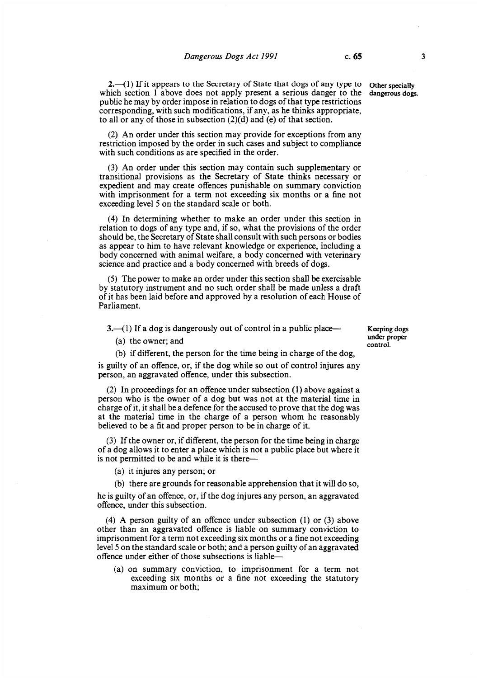2.—(1) If it appears to the Secretary of State that dogs of any type to Other specially hich section 1 above does not apply present a serious danger to the dangerous dogs. which section  $\hat{1}$  above does not apply present a serious danger to the public he may by order impose in relation to dogs of that type restrictions corresponding, with such modifications, if any, as he thinks appropriate, to all or any of those in subsection (2)(d) and (e) of that section.

(2) An order under this section may provide for exceptions from any restriction imposed by the order in such cases and subject to compliance with such conditions as are specified in the order.

(3) An order under this section may contain such supplementary or transitional provisions as the Secretary of State thinks necessary or expedient and may create offences punishable on summary conviction with imprisonment for a term not exceeding six months or a fine not exceeding level 5 on the standard scale or both.

(4) In determining whether to make an order under this section in relation to dogs of any type and, if so, what the provisions of the order should be, the Secretary of State shall consult with such persons or bodies as appear to him to have relevant knowledge or experience, including a body concerned with animal welfare, a body concerned with veterinary science and practice and a body concerned with breeds of dogs.

(5) The power to make an order under this section shall be exercisable by statutory instrument and no such order shall be made unless a draft of it has been laid before and approved by a resolution of each House of Parliament.

3.—(1) If a dog is dangerously out of control in a public place— Keeping dogs under proper

- (a) the owner; and  $\frac{u_0}{2}$  control.
- (b) if different, the person for the time being in charge of the dog,

is guilty of an offence, or, if the dog while so out of control injures any person, an aggravated offence, under this subsection.

(2) In proceedings for an offence under subsection (1) above against a person who is the owner of a dog but was not at the material time in charge of it, it shall be a defence for the accused to prove that the dog was at the material time in the charge of a person whom he reasonably believed to be a fit and proper person to be in charge of it.

(3) If the owner or, if different, the person for the time being in charge of a dog allows it to enter a place which is not a public place but where it is not permitted to be and while it is there—

(a) it injures any person; or

(b) there are grounds for reasonable apprehension that it will do so,

he is guilty of an offence, or, if the dog injures any person, an aggravated offence, under this subsection.

(4) A person guilty of an offence under subsection (1) or (3) above other than an aggravated offence is liable on summary conviction to imprisonment for a term not exceeding six months or a fine not exceeding level 5 on the standard scale or both; and a person guilty of an aggravated offence under either of those subsections is liable—

(a) on summary conviction, to imprisonment for a term not exceeding six months or a fine not exceeding the statutory maximum or both;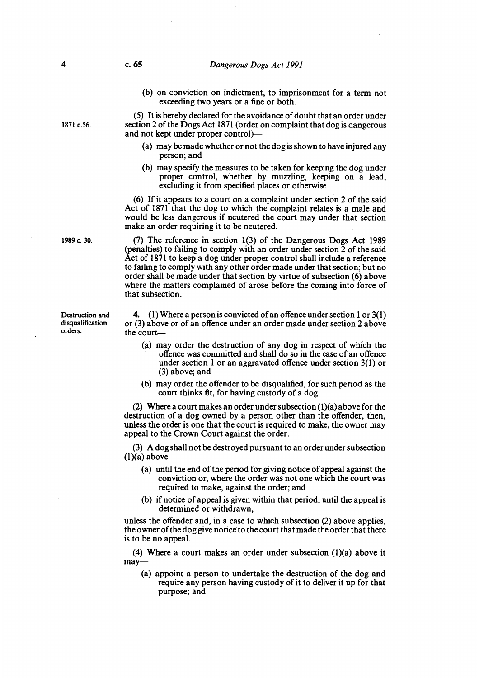#### 4 c. 65 Dangerous Dogs Act 1991

(b) on conviction on indictment, to imprisonment for a term not exceeding two years or a fine or both.

(5) It is hereby declared for the avoidance of doubt that an order under <sup>1871</sup>c.56. section 2 of the Dogs Act 1871 (order on complaint that dog is dangerous and not kept under proper control)—

- (a) may be made whether or not the dog is shown to have injured any person; and
- (b) may specify the measures to be taken for keeping the dog under proper control, whether by muzzling, keeping on a lead, excluding it from specified places or otherwise.

(6) If it appears to a court on a complaint under section 2 of the said Act of 1871 that the dog to which the complaint relates is a male and would be less dangerous if neutered the court may under that section make an order requiring it to be neutered.

<sup>1989</sup>c. 30. (7) The reference in section 1(3) of the Dangerous Dogs Act 1989 (penalties) to failing to comply with an order under section 2 of the said Act of 1871 to keep a dog under proper control shall include a reference to failing to comply with any other order made under that section; but no order shall be made under that section by virtue of subsection (6) above where the matters complained of arose before the coming into force of that subsection.

Destruction and  $\begin{array}{c} \n4. \n\begin{array}{c}\n\hline\n\end{array}$  Destruction and  $\begin{array}{c}\n\hline\n\end{array}$   $\begin{array}{c}\n\hline\n\end{array}$  Destruction  $\begin{array}{c}\n\hline\n\end{array}$  or  $\begin{array}{c}\n\hline\n\end{array}$  disqualification  $\begin{array}{c}\n\hline\n\end{array}$  or  $\begin{array}{c}\n\hline\n\end{array}$  a disqualification or (3) above or of an offence under an order made under section 2 above<br>orders. the court-

- (a) may order the destruction of any dog in respect of which the offence was committed and shall do so in the case of an offence under section 1 or an aggravated offence under section 3(1) or (3) above; and
- (b) may order the offender to be disqualified, for such period as the court thinks fit, for having custody of a dog.

(2) Where a court makes an order under subsection (1 )(a) above for the destruction of a dog owned by a person other than the offender, then, unless the order is one that the court is required to make, the owner may appeal to the Crown Court against the order.

(3) A dog shall not be destroyed pursuant to an order under subsection  $(l)(a)$  above—

- (a) until the end of the period for giving notice of appeal against the conviction or, where the order was not one which the court was required to make, against the order; and
- (b) if notice of appeal is given within that period, until the appeal is determined or withdrawn,

unless the offender and, in a case to which subsection (2) above applies, the owner of the dog give noticeto the court that made the order that there is to be no appeal.

(4) Where a court makes an order under subsection (1)(a) above it may—

(a) appoint a person to undertake the destruction of the dog and require any person having custody of it to deliver it up for that purpose; and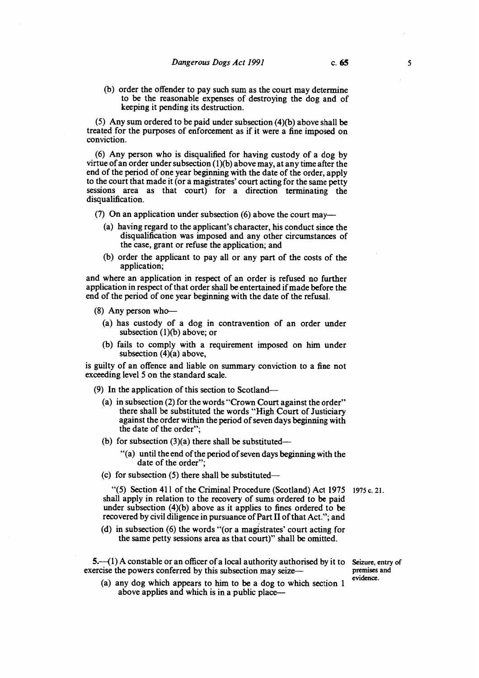(b) order the offender to pay such sum as the court may determine to be the reasonable expenses of destroying the dog and of keeping it pending its destruction.

(5) Any sum ordered to be paid under subsection (4)(b) above shall be treated for the purposes of enforcement as if it were a fine imposed on conviction.

(6) Any person who is disqualified for having custody of a dog by virtue of an order under subsection  $(1)(b)$  above may, at any time after the end of the period of one year beginning with the date of the order, apply to the court that made it (or a magistrates' court acting for the same petty sessions area as that court) for a direction terminating the disqualification.

- (7) On an application under subsection (6) above the court may—
	- (a) having regard to the applicant's character, his conduct since the disqualification was imposed and any other circumstances of the case, grant or refuse the application; and
	- (b) order the applicant to pay all or any part of the costs of the application;

and where an application in respect of an order is refused no further application in respect of that order shall be entertained if made before the end of the period of one year beginning with the date of the refusal.

(8) Any person who—

- (a) has custody of a dog in contravention of an order under subsection (l)(b) above; or
- (b) fails to comply with a requirement imposed on him under subsection  $(4)(a)$  above,

is guilty of an offence and liable on summary conviction to a fine not exceeding level 5 on the standard scale.

(9) In the application of this section to Scotland—

- (a) in subsection (2) for the words "Crown Court against the order" there shall be substituted the words "High Court of Justiciary against the order within the period of seven days beginning with the date of the order";
- (b) for subsection  $(3)(a)$  there shall be substituted—
	- "(a) until the end of the period of seven days beginning with the date of the order";
- (c) for subsection (5) there shall be substituted—

"(5) Section 411 of the Criminal Procedure (Scotland) Act 1975 1975 c. 21. shall apply in relation to the recovery of sums ordered to be paid under subsection (4)(b) above as it applies to fines ordered to be recovered by civil diligence in pursuance of Part II of that Act."; and

(d) in subsection (6) the words "(or a magistrates' court acting for the same petty sessions area as that court)" shall be omitted.

5.—(1) A constable or an officer of a local authority authorised by it to Seizure, entry of ercise the nowers conferred by this subsection may seize— premises and exercise the powers conferred by this subsection may seize—

(a) any dog which appears to him to be a dog to which section <sup>1</sup> above applies and which is in a public place—

evidence.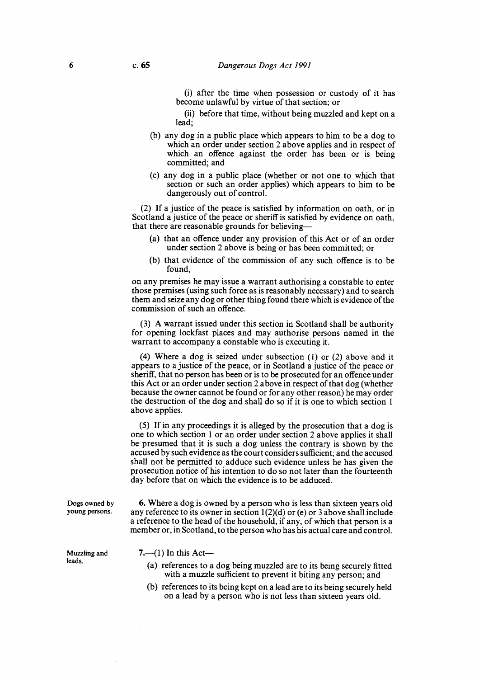(i) after the time when possession or custody of it has become unlawful by virtue of that section; or

(ii) before that time, without being muzzled and kept on a lead;

- (b) any dog in a public place which appears to him to be a dog to which an order under section 2 above applies and in respect of which an offence against the order has been or is being committed; and
- (c) any dog in a public place (whether or not one to which that section or such an order applies) which appears to him to be dangerously out of control.

(2) If a justice of the peace is satisfied by information on oath, or in Scotland a justice of the peace or sheriff is satisfied by evidence on oath, that there are reasonable grounds for believing—

- (a) that an offence under any provision of this Act or of an order under section 2 above is being or has been committed; or
- (b) that evidence of the commission of any such offence is to be found,

on any premises he may issue a warrant authorising a constable to enter those premises (using such force as is reasonably necessary) and to search them and seize any dog or other thing found there which is evidence of the commission of such an offence.

(3) A warrant issued under this section in Scotland shall be authority for opening lockfast places and may authorise persons named in the warrant to accompany a constable who is executing it.

(4) Where a dog is seized under subsection (1) or (2) above and it appears to a justice of the peace, or in Scotland a justice of the peace or sheriff, that no person has been or is to be prosecuted for an offence under this Act or an order under section 2 above in respect of that dog (whether because the owner cannot be found or for any other reason) he may order the destruction of the dog and shall do so if it is one to which section <sup>1</sup> above applies.

(5) If in any proceedings it is alleged by the prosecution that a dog is one to which section 1 or an order under section 2 above applies it shall be presumed that it is such a dog unless the contrary is shown by the accused by such evidence as the court considers sufficient; and the accused shall not be permitted to adduce such evidence unless he has given the prosecution notice of his intention to do so not later than the fourteenth day before that on which the evidence is to be adduced.

Dogs owned by **6.** Where a dog is owned by a person who is less than sixteen years old young persons. any reference to its owner in section  $1(2)(d)$  or  $(e)$  or 3 above shall include any reference to its owner in section  $1(2)(d)$  or (e) or 3 above shall include a reference to the head of the household, if any, of which that person is a member or, in Scotland, to the person who has his actual care and control.

- (a) references to a dog being muzzled are to its being securely fitted with a muzzle sufficient to prevent it biting any person; and
- (b) references to its being kept on a lead are to its being securely held on a lead by a person who is not less than sixteen years old.

Muzzling and  $7.$ —(1) In this Act—<br>leads.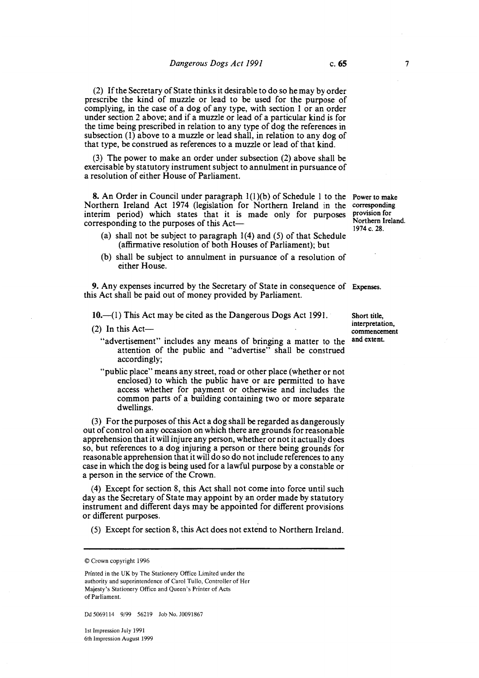(2) If the Secretary of State thinks it desirable to do so he may by order prescribe the kind of muzzle or lead to be used for the purpose of complying, in the case of a dog of any type, with section 1 or an order under section 2 above; and if a muzzle or lead of a particular kind is for the time being prescribed in relation to any type of dog the references in subsection (1) above to a muzzle or lead shall, in relation to any dog of that type, be construed as references to a muzzle or lead of that kind.

(3) The power to make an order under subsection (2) above shall be exercisable by statutory instrument subject to annulment in pursuance of a resolution of either House of Parliament.

8. An Order in Council under paragraph  $1(1)(b)$  of Schedule 1 to the Power to make orthern Ireland Act 1974 (legislation for Northern Ireland in the corresponding Northern Ireland Act 1974 (legislation for Northern Ireland in the corresponding interim period) which states that it is made only for nurnoses provision for interim period) which states that it is made only for purposes provision for<br>corresponding to the purposes of this Act corresponding to the purposes of this Act—<br>1974 c. 28.

- (a) shall not be subject to paragraph 1(4) and (5) of that Schedule (affirmative resolution of both Houses of Parliament); but
- (b) shall be subject to annulment in pursuance of a resolution of either House.

9. Any expenses incurred by the Secretary of State in consequence of Expenses. this Act shall be paid out of money provided by Parliament.

10.—(1) This Act may be cited as the Dangerous Dogs Act 1991. Short title,

- (2) In this Act-
	- "advertisement" includes any means of bringing a matter to the and extent. attention of the public and "advertise" shall be construed accordingly;
	- "public place" means any street, road or other place (whether or not enclosed) to which the public have or are permitted to have access whether for payment or otherwise and includes the common parts of a building containing two or more separate dwellings.

(3) For the purposes of this Act a dog shall be regarded as dangerously out of control on any occasion on which there are grounds for reasonable apprehension that it will injure any person, whether or not it actually does so, but references to a dog injuring a person or there being grounds for reasonable apprehension that it will do so do not include references to any case in which the dog is being used for a lawful purpose by a constable or a person in the service of the Crown.

(4) Except for section 8, this Act shall not come into force until such day as the Secretary of State may appoint by an order made by statutory instrument and different days may be appointed for different provisions or different purposes.

(5) Except for section 8, this Act does not extend to Northern Ireland.

Dd5069114 9/99 56219 Job No. J0091867

1st Impression July 1991 6th Impression August 1999 interpretation,

<sup>©</sup> Crown copyright 1996

Printed in the UK by The Stationery Office Limited under the authority and superintendence of Carol Tullo, Controller of Her Majesty's Stationery Office and Queen's Printer of Acts of Parliament.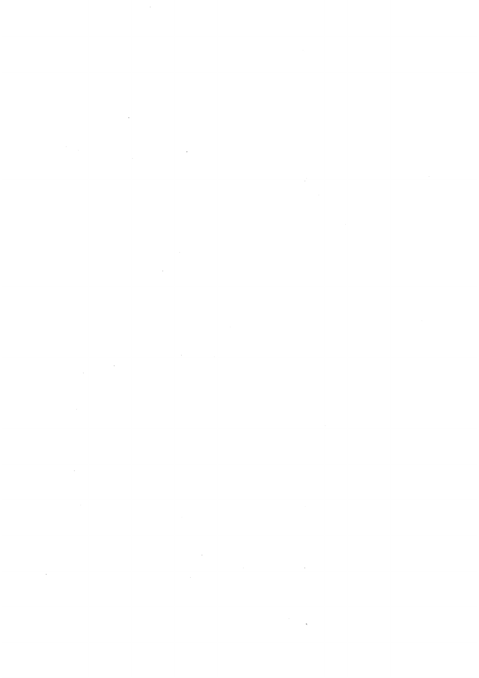$\label{eq:2.1} \frac{1}{\sqrt{2}}\int_{\mathbb{R}^3}\frac{1}{\sqrt{2}}\left(\frac{1}{\sqrt{2}}\right)^2\frac{1}{\sqrt{2}}\left(\frac{1}{\sqrt{2}}\right)^2\frac{1}{\sqrt{2}}\left(\frac{1}{\sqrt{2}}\right)^2\frac{1}{\sqrt{2}}\left(\frac{1}{\sqrt{2}}\right)^2.$ 

 $\label{eq:2.1} \mathcal{L}(\mathcal{L}^{\text{max}}_{\mathcal{L}}(\mathcal{L}^{\text{max}}_{\mathcal{L}}),\mathcal{L}^{\text{max}}_{\mathcal{L}^{\text{max}}_{\mathcal{L}}})$ 

 $\label{eq:2.1} \frac{1}{\sqrt{2\pi}}\int_{\mathbb{R}^3}\frac{d\mu}{\sqrt{2\pi}}\left(\frac{d\mu}{\mu}\right)^2\frac{d\mu}{\mu}\frac{d\mu}{\mu}\frac{d\mu}{\mu}\frac{d\mu}{\mu}\frac{d\mu}{\mu}\frac{d\mu}{\mu}\frac{d\mu}{\mu}\frac{d\mu}{\mu}\frac{d\mu}{\mu}\frac{d\mu}{\mu}\frac{d\mu}{\mu}\frac{d\mu}{\mu}\frac{d\mu}{\mu}\frac{d\mu}{\mu}\frac{d\mu}{\mu}\frac{d\mu}{\mu}\frac{d\mu}{\mu}\frac{d\mu$ 

 $\label{eq:2.1} \frac{1}{\sqrt{2}}\int_{\mathbb{R}^3} \left|\frac{d\mu}{d\mu}\right|^2 \, d\mu = \frac{1}{2}\int_{\mathbb{R}^3} \left|\frac{d\mu}{d\mu}\right|^2 \, d\mu = \frac{1}{2}\int_{\mathbb{R}^3} \left|\frac{d\mu}{d\mu}\right|^2 \, d\mu.$ 

 $\label{eq:2.1} \frac{1}{\sqrt{2\pi}}\frac{1}{\sqrt{2\pi}}\sum_{i=1}^n\frac{1}{\sqrt{2\pi}}\frac{1}{\sqrt{2\pi}}\frac{1}{\sqrt{2\pi}}\sum_{i=1}^n\frac{1}{\sqrt{2\pi}}\frac{1}{\sqrt{2\pi}}\frac{1}{\sqrt{2\pi}}\frac{1}{\sqrt{2\pi}}\frac{1}{\sqrt{2\pi}}\frac{1}{\sqrt{2\pi}}\frac{1}{\sqrt{2\pi}}\frac{1}{\sqrt{2\pi}}\frac{1}{\sqrt{2\pi}}\frac{1}{\sqrt{2\pi}}\frac{1}{\sqrt{2\pi}}\$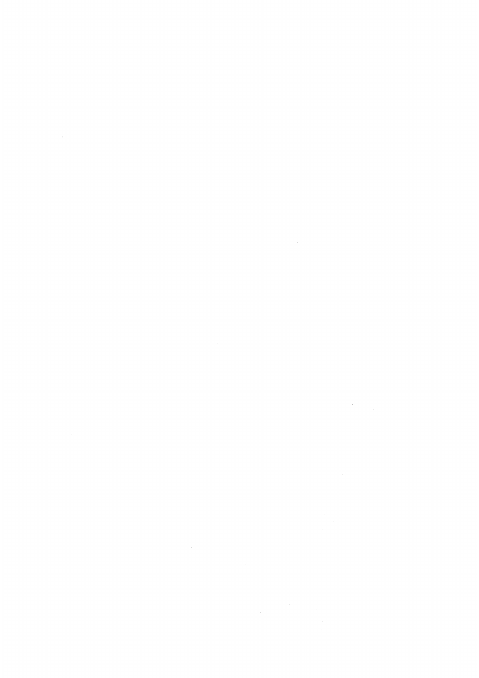$\label{eq:2.1} \frac{1}{\sqrt{2}}\left(\frac{1}{\sqrt{2}}\right)^{2} \left(\frac{1}{\sqrt{2}}\right)^{2} \left(\frac{1}{\sqrt{2}}\right)^{2} \left(\frac{1}{\sqrt{2}}\right)^{2} \left(\frac{1}{\sqrt{2}}\right)^{2} \left(\frac{1}{\sqrt{2}}\right)^{2} \left(\frac{1}{\sqrt{2}}\right)^{2} \left(\frac{1}{\sqrt{2}}\right)^{2} \left(\frac{1}{\sqrt{2}}\right)^{2} \left(\frac{1}{\sqrt{2}}\right)^{2} \left(\frac{1}{\sqrt{2}}\right)^{2} \left(\$ 

 $\label{eq:2.1} \begin{split} \mathcal{L}_{\text{max}}(\mathbf{r}) & = \frac{1}{2} \sum_{i=1}^{N} \mathcal{L}_{\text{max}}(\mathbf{r}) \mathcal{L}_{\text{max}}(\mathbf{r}) \\ & = \frac{1}{2} \sum_{i=1}^{N} \mathcal{L}_{\text{max}}(\mathbf{r}) \mathcal{L}_{\text{max}}(\mathbf{r}) \mathcal{L}_{\text{max}}(\mathbf{r}) \mathcal{L}_{\text{max}}(\mathbf{r}) \mathcal{L}_{\text{max}}(\mathbf{r}) \mathcal{L}_{\text{max}}(\mathbf{r}) \mathcal{L}_{\text{max}}(\mathbf$